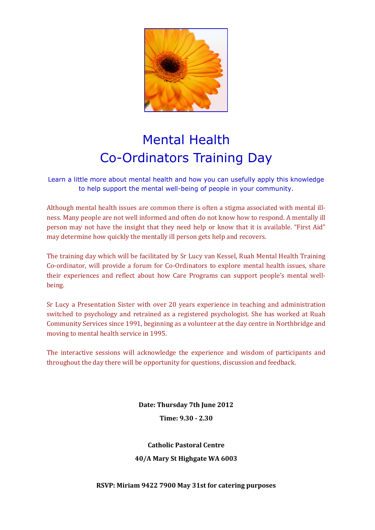

## Mental Health Co-Ordinators Training Day

Learn a little more about mental health and how you can usefully apply this knowledge to help support the mental well-being of people in your community.

Although mental health issues are common there is often a stigma associated with mental illness. Many people are not well informed and often do not know how to respond. A mentally ill person may not have the insight that they need help or know that it is available. "First Aid" may determine how quickly the mentally ill person gets help and recovers.

The training day which will be facilitated by Sr Lucy van Kessel, Ruah Mental Health Training Co-ordinator, will provide a forum for Co-Ordinators to explore mental health issues, share their experiences and reflect about how Care Programs can support people's mental wellbeing.

Sr Lucy a Presentation Sister with over 20 years experience in teaching and administration switched to psychology and retrained as a registered psychologist. She has worked at Ruah Community Services since 1991, beginning as a volunteer at the day centre in Northbridge and moving to mental health service in 1995.

The interactive sessions will acknowledge the experience and wisdom of participants and throughout the day there will be opportunity for questions, discussion and feedback.

> **Date: Thursday 7th June 2012 Time: 9.30 - 2.30**

**Catholic Pastoral Centre 40/A Mary St Highgate WA 6003**

**RSVP: Miriam 9422 7900 May 31st for catering purposes**